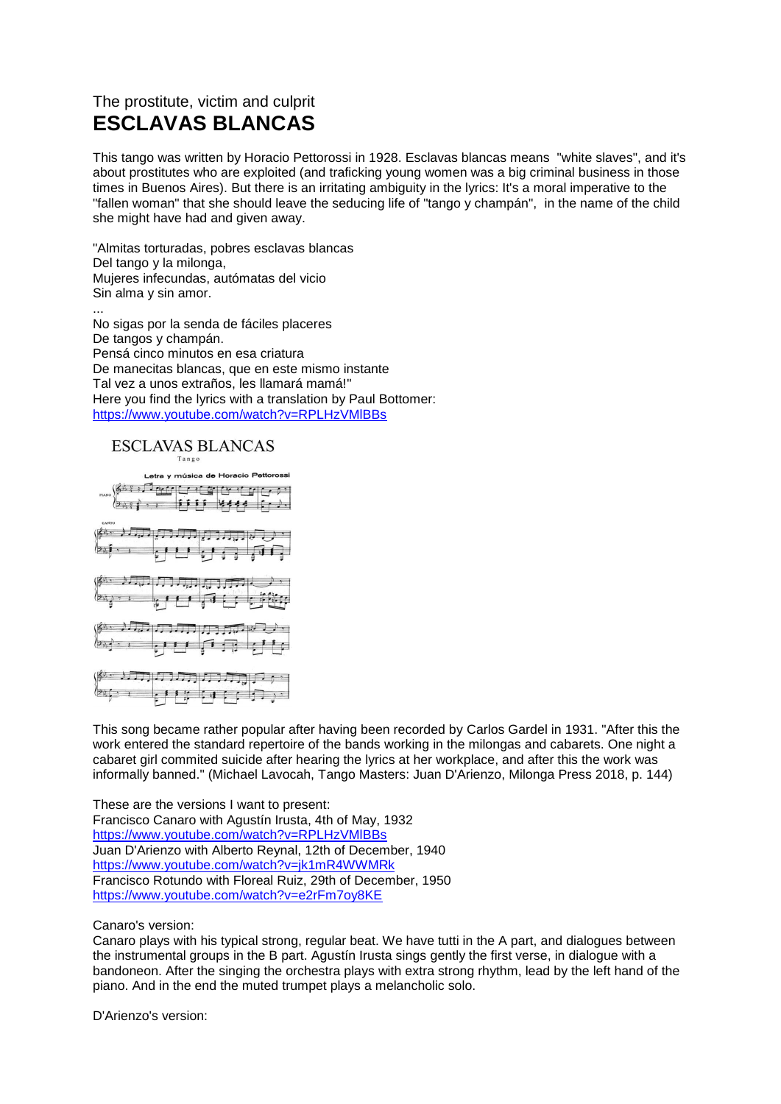## The prostitute, victim and culprit **ESCLAVAS BLANCAS**

This tango was written by Horacio Pettorossi in 1928. Esclavas blancas means "white slaves", and it's about prostitutes who are exploited (and traficking young women was a big criminal business in those times in Buenos Aires). But there is an irritating ambiguity in the lyrics: It's a moral imperative to the "fallen woman" that she should leave the seducing life of "tango y champán", in the name of the child she might have had and given away.

"Almitas torturadas, pobres esclavas blancas Del tango y la milonga, Mujeres infecundas, autómatas del vicio Sin alma y sin amor.

... No sigas por la senda de fáciles placeres De tangos y champán. Pensá cinco minutos en esa criatura De manecitas blancas, que en este mismo instante Tal vez a unos extraños, les llamará mamá!" Here you find the lyrics with a translation by Paul Bottomer: <https://www.youtube.com/watch?v=RPLHzVMlBBs>

**ESCLAVAS BLANCAS** 



This song became rather popular after having been recorded by Carlos Gardel in 1931. "After this the work entered the standard repertoire of the bands working in the milongas and cabarets. One night a cabaret girl commited suicide after hearing the lyrics at her workplace, and after this the work was informally banned." (Michael Lavocah, Tango Masters: Juan D'Arienzo, Milonga Press 2018, p. 144)

These are the versions I want to present: Francisco Canaro with Agustín Irusta, 4th of May, 1932 <https://www.youtube.com/watch?v=RPLHzVMlBBs> Juan D'Arienzo with Alberto Reynal, 12th of December, 1940 <https://www.youtube.com/watch?v=jk1mR4WWMRk> Francisco Rotundo with Floreal Ruiz, 29th of December, 1950 <https://www.youtube.com/watch?v=e2rFm7oy8KE>

Canaro's version:

Canaro plays with his typical strong, regular beat. We have tutti in the A part, and dialogues between the instrumental groups in the B part. Agustín Irusta sings gently the first verse, in dialogue with a bandoneon. After the singing the orchestra plays with extra strong rhythm, lead by the left hand of the piano. And in the end the muted trumpet plays a melancholic solo.

D'Arienzo's version: